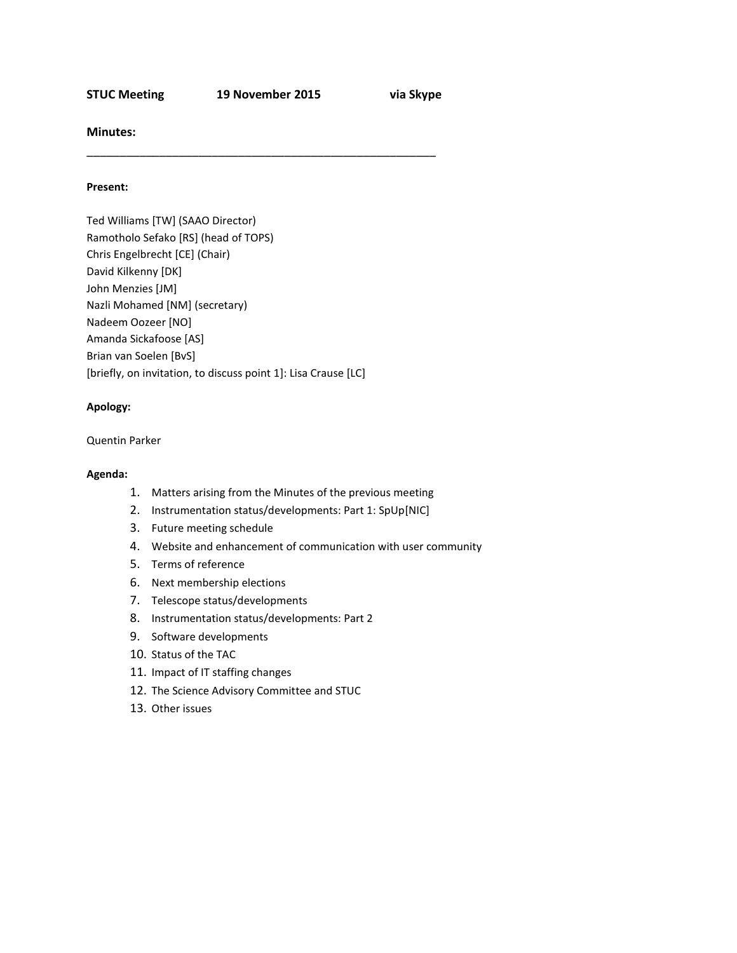**STUC Meeting 19 November 2015 via Skype**

\_\_\_\_\_\_\_\_\_\_\_\_\_\_\_\_\_\_\_\_\_\_\_\_\_\_\_\_\_\_\_\_\_\_\_\_\_\_\_\_\_\_\_\_\_\_\_\_\_\_\_\_\_

**Minutes:**

#### **Present:**

Ted Williams [TW] (SAAO Director) Ramotholo Sefako [RS] (head of TOPS) Chris Engelbrecht [CE] (Chair) David Kilkenny [DK] John Menzies [JM] Nazli Mohamed [NM] (secretary) Nadeem Oozeer [NO] Amanda Sickafoose [AS] Brian van Soelen [BvS] [briefly, on invitation, to discuss point 1]: Lisa Crause [LC]

### **Apology:**

### Quentin Parker

### **Agenda:**

- 1. Matters arising from the Minutes of the previous meeting
- 2. Instrumentation status/developments: Part 1: SpUp[NIC]
- 3. Future meeting schedule
- 4. Website and enhancement of communication with user community
- 5. Terms of reference
- 6. Next membership elections
- 7. Telescope status/developments
- 8. Instrumentation status/developments: Part 2
- 9. Software developments
- 10. Status of the TAC
- 11. Impact of IT staffing changes
- 12. The Science Advisory Committee and STUC
- 13. Other issues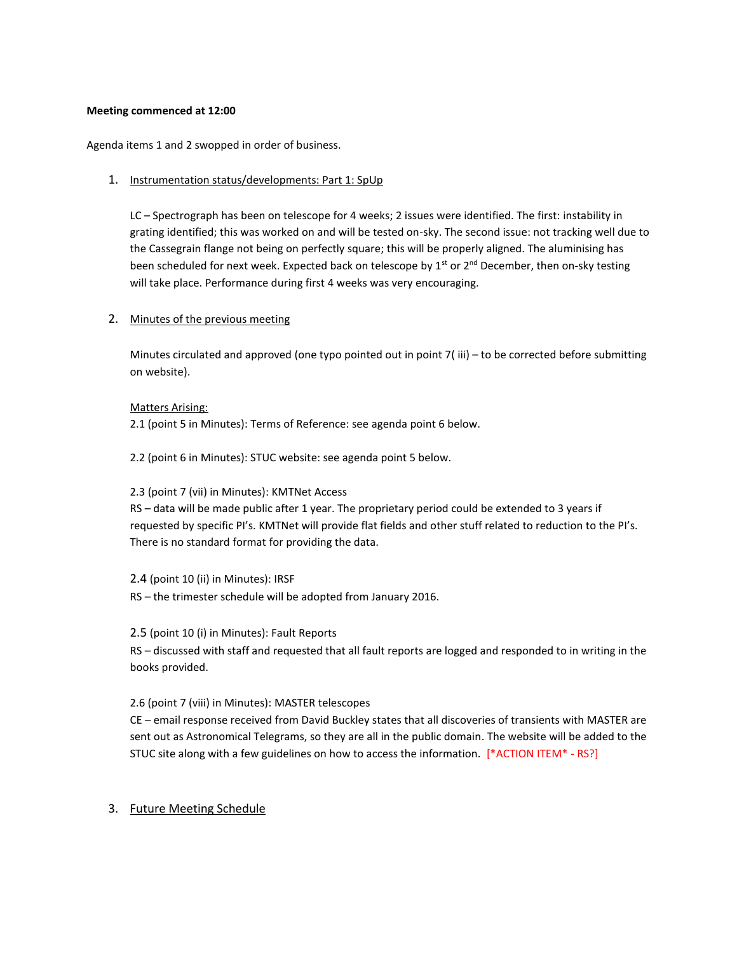### **Meeting commenced at 12:00**

Agenda items 1 and 2 swopped in order of business.

# 1. Instrumentation status/developments: Part 1: SpUp

LC – Spectrograph has been on telescope for 4 weeks; 2 issues were identified. The first: instability in grating identified; this was worked on and will be tested on-sky. The second issue: not tracking well due to the Cassegrain flange not being on perfectly square; this will be properly aligned. The aluminising has been scheduled for next week. Expected back on telescope by  $1^{st}$  or  $2^{nd}$  December, then on-sky testing will take place. Performance during first 4 weeks was very encouraging.

# 2. Minutes of the previous meeting

Minutes circulated and approved (one typo pointed out in point 7( iii) – to be corrected before submitting on website).

### Matters Arising:

2.1 (point 5 in Minutes): Terms of Reference: see agenda point 6 below.

2.2 (point 6 in Minutes): STUC website: see agenda point 5 below.

# 2.3 (point 7 (vii) in Minutes): KMTNet Access

RS – data will be made public after 1 year. The proprietary period could be extended to 3 years if requested by specific PI's. KMTNet will provide flat fields and other stuff related to reduction to the PI's. There is no standard format for providing the data.

# 2.4 (point 10 (ii) in Minutes): IRSF

RS – the trimester schedule will be adopted from January 2016.

# 2.5 (point 10 (i) in Minutes): Fault Reports

RS – discussed with staff and requested that all fault reports are logged and responded to in writing in the books provided.

# 2.6 (point 7 (viii) in Minutes): MASTER telescopes

CE – email response received from David Buckley states that all discoveries of transients with MASTER are sent out as Astronomical Telegrams, so they are all in the public domain. The website will be added to the STUC site along with a few guidelines on how to access the information. [\*ACTION ITEM\* - RS?]

# 3. Future Meeting Schedule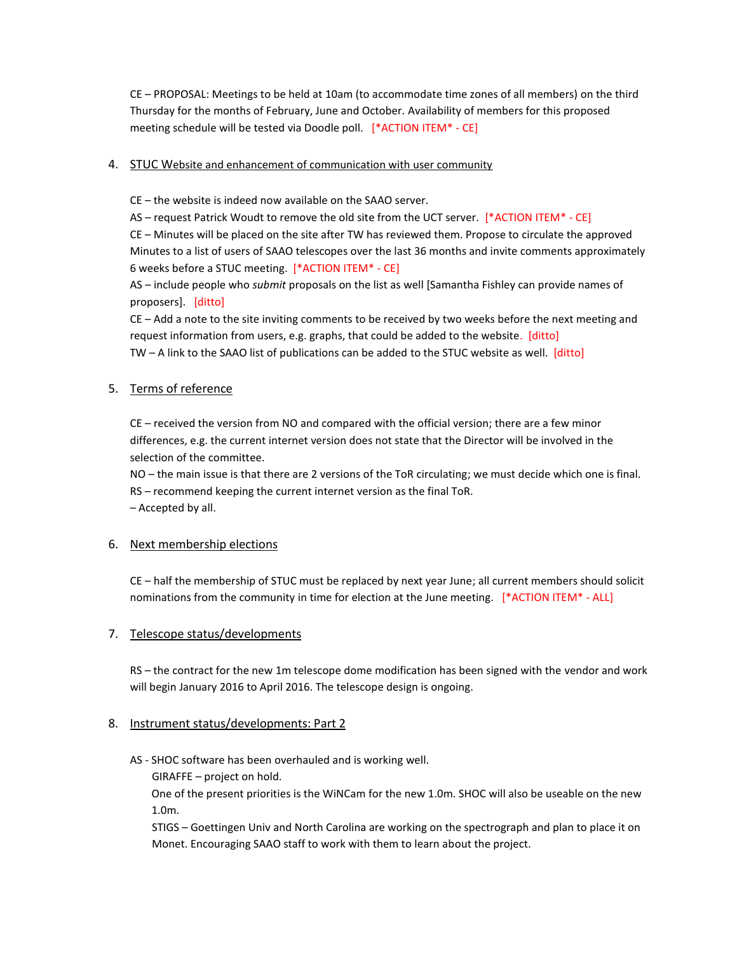CE – PROPOSAL: Meetings to be held at 10am (to accommodate time zones of all members) on the third Thursday for the months of February, June and October. Availability of members for this proposed meeting schedule will be tested via Doodle poll. [\*ACTION ITEM\* - CE]

# 4. STUC Website and enhancement of communication with user community

CE – the website is indeed now available on the SAAO server.

AS – request Patrick Woudt to remove the old site from the UCT server. [\*ACTION ITEM\* - CE]

CE – Minutes will be placed on the site after TW has reviewed them. Propose to circulate the approved Minutes to a list of users of SAAO telescopes over the last 36 months and invite comments approximately 6 weeks before a STUC meeting. [\*ACTION ITEM\* - CE]

AS – include people who *submit* proposals on the list as well [Samantha Fishley can provide names of proposers]. [ditto]

CE – Add a note to the site inviting comments to be received by two weeks before the next meeting and request information from users, e.g. graphs, that could be added to the website. [ditto] TW – A link to the SAAO list of publications can be added to the STUC website as well.  $\left[ \frac{\text{dit}}{\text{tot}} \right]$ 

# 5. Terms of reference

CE – received the version from NO and compared with the official version; there are a few minor differences, e.g. the current internet version does not state that the Director will be involved in the selection of the committee.

NO – the main issue is that there are 2 versions of the ToR circulating; we must decide which one is final. RS – recommend keeping the current internet version as the final ToR. – Accepted by all.

# 6. Next membership elections

CE – half the membership of STUC must be replaced by next year June; all current members should solicit nominations from the community in time for election at the June meeting. [\*ACTION ITEM\* - ALL]

# 7. Telescope status/developments

RS – the contract for the new 1m telescope dome modification has been signed with the vendor and work will begin January 2016 to April 2016. The telescope design is ongoing.

# 8. Instrument status/developments: Part 2

# AS - SHOC software has been overhauled and is working well.

GIRAFFE – project on hold.

One of the present priorities is the WiNCam for the new 1.0m. SHOC will also be useable on the new 1.0m.

 STIGS – Goettingen Univ and North Carolina are working on the spectrograph and plan to place it on Monet. Encouraging SAAO staff to work with them to learn about the project.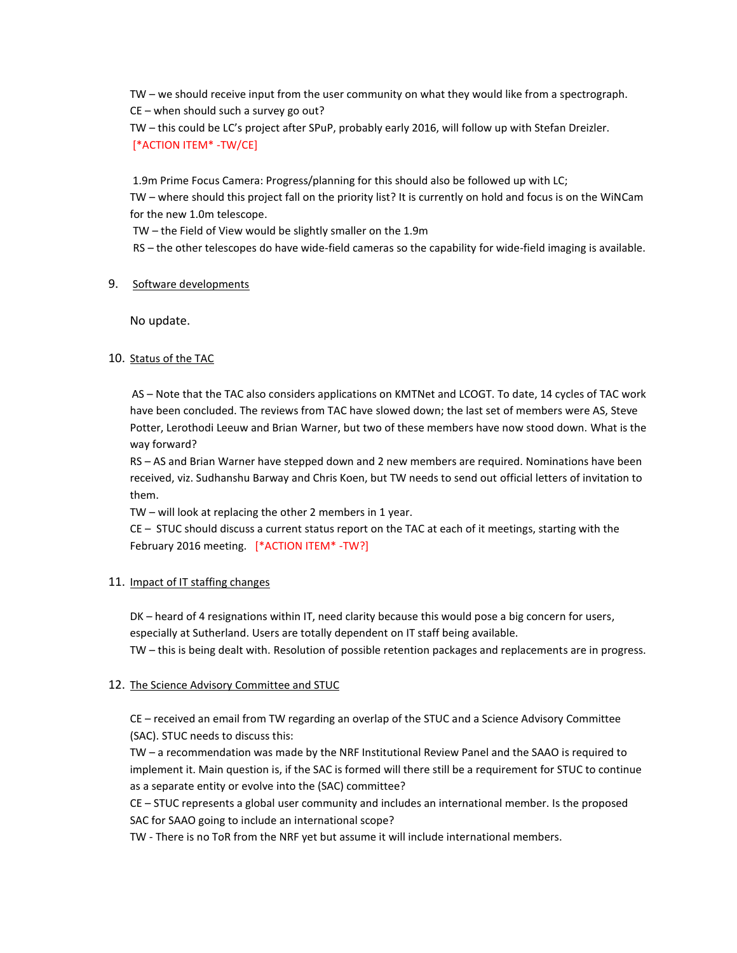TW – we should receive input from the user community on what they would like from a spectrograph. CE – when should such a survey go out?

TW – this could be LC's project after SPuP, probably early 2016, will follow up with Stefan Dreizler. [\*ACTION ITEM\* -TW/CE]

1.9m Prime Focus Camera: Progress/planning for this should also be followed up with LC;

TW – where should this project fall on the priority list? It is currently on hold and focus is on the WiNCam for the new 1.0m telescope.

TW – the Field of View would be slightly smaller on the 1.9m

RS – the other telescopes do have wide-field cameras so the capability for wide-field imaging is available.

# 9. Software developments

No update.

# 10. Status of the TAC

AS – Note that the TAC also considers applications on KMTNet and LCOGT. To date, 14 cycles of TAC work have been concluded. The reviews from TAC have slowed down; the last set of members were AS, Steve Potter, Lerothodi Leeuw and Brian Warner, but two of these members have now stood down. What is the way forward?

RS – AS and Brian Warner have stepped down and 2 new members are required. Nominations have been received, viz. Sudhanshu Barway and Chris Koen, but TW needs to send out official letters of invitation to them.

TW – will look at replacing the other 2 members in 1 year.

CE – STUC should discuss a current status report on the TAC at each of it meetings, starting with the February 2016 meeting. [\*ACTION ITEM\* -TW?]

# 11. Impact of IT staffing changes

DK – heard of 4 resignations within IT, need clarity because this would pose a big concern for users, especially at Sutherland. Users are totally dependent on IT staff being available.

TW – this is being dealt with. Resolution of possible retention packages and replacements are in progress.

# 12. The Science Advisory Committee and STUC

CE – received an email from TW regarding an overlap of the STUC and a Science Advisory Committee (SAC). STUC needs to discuss this:

TW – a recommendation was made by the NRF Institutional Review Panel and the SAAO is required to implement it. Main question is, if the SAC is formed will there still be a requirement for STUC to continue as a separate entity or evolve into the (SAC) committee?

CE – STUC represents a global user community and includes an international member. Is the proposed SAC for SAAO going to include an international scope?

TW - There is no ToR from the NRF yet but assume it will include international members.